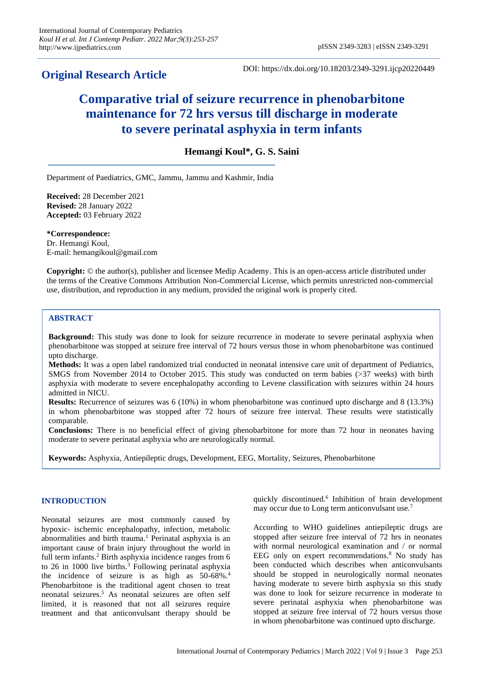## **Original Research Article**

DOI: https://dx.doi.org/10.18203/2349-3291.ijcp20220449

# **Comparative trial of seizure recurrence in phenobarbitone maintenance for 72 hrs versus till discharge in moderate to severe perinatal asphyxia in term infants**

### **Hemangi Koul\*, G. S. Saini**

Department of Paediatrics, GMC, Jammu, Jammu and Kashmir, India

**Received:** 28 December 2021 **Revised:** 28 January 2022 **Accepted:** 03 February 2022

**\*Correspondence:** Dr. Hemangi Koul, E-mail: hemangikoul@gmail.com

**Copyright:** © the author(s), publisher and licensee Medip Academy. This is an open-access article distributed under the terms of the Creative Commons Attribution Non-Commercial License, which permits unrestricted non-commercial use, distribution, and reproduction in any medium, provided the original work is properly cited.

#### **ABSTRACT**

**Background:** This study was done to look for seizure recurrence in moderate to severe perinatal asphyxia when phenobarbitone was stopped at seizure free interval of 72 hours versus those in whom phenobarbitone was continued upto discharge.

**Methods:** It was a open label randomized trial conducted in neonatal intensive care unit of department of Pediatrics, SMGS from November 2014 to October 2015. This study was conducted on term babies (>37 weeks) with birth asphyxia with moderate to severe encephalopathy according to Levene classification with seizures within 24 hours admitted in NICU.

**Results:** Recurrence of seizures was 6 (10%) in whom phenobarbitone was continued upto discharge and 8 (13.3%) in whom phenobarbitone was stopped after 72 hours of seizure free interval. These results were statistically comparable.

**Conclusions:** There is no beneficial effect of giving phenobarbitone for more than 72 hour in neonates having moderate to severe perinatal asphyxia who are neurologically normal.

**Keywords:** Asphyxia, Antiepileptic drugs, Development, EEG, Mortality, Seizures, Phenobarbitone

#### **INTRODUCTION**

Neonatal seizures are most commonly caused by hypoxic- ischemic encephalopathy, infection, metabolic abnormalities and birth trauma.<sup>1</sup> Perinatal asphyxia is an important cause of brain injury throughout the world in full term infants.<sup>2</sup> Birth asphyxia incidence ranges from 6 to 26 in 1000 live births.<sup>3</sup> Following perinatal asphyxia the incidence of seizure is as high as  $50-68\%$ <sup>4</sup> Phenobarbitone is the traditional agent chosen to treat neonatal seizures.<sup>5</sup> As neonatal seizures are often self limited, it is reasoned that not all seizures require treatment and that anticonvulsant therapy should be

quickly discontinued.<sup>6</sup> Inhibition of brain development may occur due to Long term anticonvulsant use.<sup>7</sup>

According to WHO guidelines antiepileptic drugs are stopped after seizure free interval of 72 hrs in neonates with normal neurological examination and / or normal EEG only on expert recommendations.<sup>8</sup> No study has been conducted which describes when anticonvulsants should be stopped in neurologically normal neonates having moderate to severe birth asphyxia so this study was done to look for seizure recurrence in moderate to severe perinatal asphyxia when phenobarbitone was stopped at seizure free interval of 72 hours versus those in whom phenobarbitone was continued upto discharge.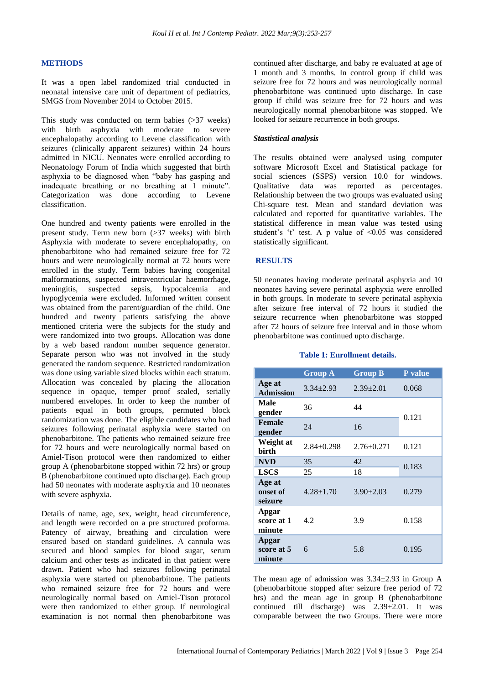#### **METHODS**

It was a open label randomized trial conducted in neonatal intensive care unit of department of pediatrics, SMGS from November 2014 to October 2015.

This study was conducted on term babies (>37 weeks) with birth asphyxia with moderate to severe encephalopathy according to Levene classification with seizures (clinically apparent seizures) within 24 hours admitted in NICU. Neonates were enrolled according to Neonatology Forum of India which suggested that birth asphyxia to be diagnosed when "baby has gasping and inadequate breathing or no breathing at 1 minute". Categorization was done according to Levene classification.

One hundred and twenty patients were enrolled in the present study. Term new born (>37 weeks) with birth Asphyxia with moderate to severe encephalopathy, on phenobarbitone who had remained seizure free for 72 hours and were neurologically normal at 72 hours were enrolled in the study. Term babies having congenital malformations, suspected intraventricular haemorrhage, meningitis, suspected sepsis, hypocalcemia and hypoglycemia were excluded. Informed written consent was obtained from the parent/guardian of the child. One hundred and twenty patients satisfying the above mentioned criteria were the subjects for the study and were randomized into two groups. Allocation was done by a web based random number sequence generator. Separate person who was not involved in the study generated the random sequence. Restricted randomization was done using variable sized blocks within each stratum. Allocation was concealed by placing the allocation sequence in opaque, temper proof sealed, serially numbered envelopes. In order to keep the number of patients equal in both groups, permuted block randomization was done. The eligible candidates who had seizures following perinatal asphyxia were started on phenobarbitone. The patients who remained seizure free for 72 hours and were neurologically normal based on Amiel-Tison protocol were then randomized to either group A (phenobarbitone stopped within 72 hrs) or group B (phenobarbitone continued upto discharge). Each group had 50 neonates with moderate asphyxia and 10 neonates with severe asphyxia.

Details of name, age, sex, weight, head circumference, and length were recorded on a pre structured proforma. Patency of airway, breathing and circulation were ensured based on standard guidelines. A cannula was secured and blood samples for blood sugar, serum calcium and other tests as indicated in that patient were drawn. Patient who had seizures following perinatal asphyxia were started on phenobarbitone. The patients who remained seizure free for 72 hours and were neurologically normal based on Amiel-Tison protocol were then randomized to either group. If neurological examination is not normal then phenobarbitone was continued after discharge, and baby re evaluated at age of 1 month and 3 months. In control group if child was seizure free for 72 hours and was neurologically normal phenobarbitone was continued upto discharge. In case group if child was seizure free for 72 hours and was neurologically normal phenobarbitone was stopped. We looked for seizure recurrence in both groups.

#### *Stastistical analysis*

The results obtained were analysed using computer software Microsoft Excel and Statistical package for social sciences (SSPS) version 10.0 for windows. Qualitative data was reported as percentages. Relationship between the two groups was evaluated using Chi-square test. Mean and standard deviation was calculated and reported for quantitative variables. The statistical difference in mean value was tested using student's 't' test. A p value of <0.05 was considered statistically significant.

#### **RESULTS**

50 neonates having moderate perinatal asphyxia and 10 neonates having severe perinatal asphyxia were enrolled in both groups. In moderate to severe perinatal asphyxia after seizure free interval of 72 hours it studied the seizure recurrence when phenobarbitone was stopped after 72 hours of seizure free interval and in those whom phenobarbitone was continued upto discharge.

#### **Table 1: Enrollment details.**

|                               | <b>Group A</b>   | <b>Group B</b>   | P value |  |
|-------------------------------|------------------|------------------|---------|--|
| Age at<br><b>Admission</b>    | $3.34 \pm 2.93$  | $2.39 \pm 2.01$  | 0.068   |  |
| Male<br>gender                | 36               | 44               |         |  |
| <b>Female</b><br>gender       | 24               | 16               | 0.121   |  |
| Weight at<br>birth            | $2.84 \pm 0.298$ | $2.76 \pm 0.271$ | 0.121   |  |
| <b>NVD</b>                    | 35               | 42               | 0.183   |  |
| <b>LSCS</b>                   | 25               | 18               |         |  |
| Age at<br>onset of<br>seizure | $4.28 \pm 1.70$  | $3.90 \pm 2.03$  | 0.279   |  |
| Apgar<br>score at 1<br>minute | 4.2              | 3.9              | 0.158   |  |
| Apgar<br>score at 5<br>minute | 6                | 5.8              | 0.195   |  |

The mean age of admission was 3.34±2.93 in Group A (phenobarbitone stopped after seizure free period of 72 hrs) and the mean age in group B (phenobarbitone continued till discharge) was 2.39±2.01. It was comparable between the two Groups. There were more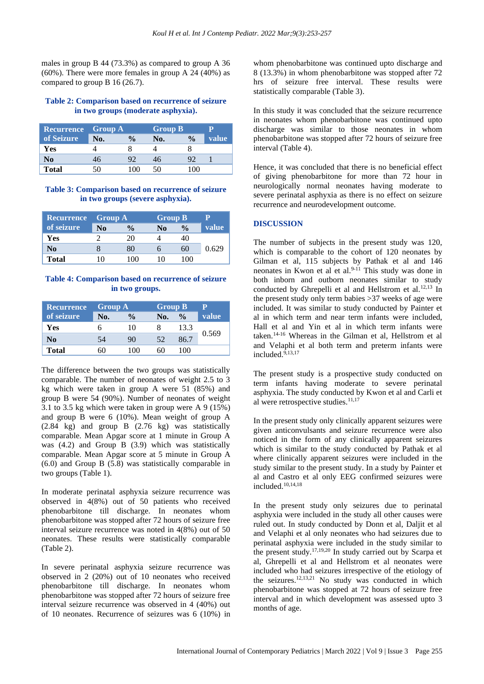males in group B 44 (73.3%) as compared to group A 36 (60%). There were more females in group A 24 (40%) as compared to group B 16 (26.7).

#### **Table 2: Comparison based on recurrence of seizure in two groups (moderate asphyxia).**

| <b>Recurrence</b> | <b>Group A</b> |               | <b>Group B</b> |               |       |
|-------------------|----------------|---------------|----------------|---------------|-------|
| of Seizure        | No.            | $\frac{0}{0}$ | No.            | $\frac{0}{0}$ | value |
| Yes               |                |               |                |               |       |
| No                | 16             |               | 46             |               |       |
| <b>Total</b>      | ۱U             | 1 ( ) ( )     | 50             | (1)           |       |

#### **Table 3: Comparison based on recurrence of seizure in two groups (severe asphyxia).**

| <b>Recurrence</b> | <b>Group A</b> |               |    | <b>Group B</b> |       |
|-------------------|----------------|---------------|----|----------------|-------|
| of seizure        | No             | $\frac{0}{0}$ | No | $\frac{0}{0}$  | value |
| Yes               |                | 20            |    |                |       |
| No                |                | 80            |    | 60             | 0.629 |
| <b>Total</b>      |                | ۱ω            |    | 100            |       |

#### **Table 4: Comparison based on recurrence of seizure in two groups.**

| <b>Recurrence</b> | <b>Group A</b> |               | <b>Group B</b> |               |       |
|-------------------|----------------|---------------|----------------|---------------|-------|
| of seizure        | No.            | $\frac{0}{0}$ | No.            | $\frac{0}{0}$ | value |
| Yes               |                | 10            |                | 13.3          |       |
| No                | 54             | 90            | 52             | 86.7          | 0.569 |
| Total             |                |               |                | 100           |       |

The difference between the two groups was statistically comparable. The number of neonates of weight 2.5 to 3 kg which were taken in group A were 51 (85%) and group B were 54 (90%). Number of neonates of weight 3.1 to 3.5 kg which were taken in group were A 9 (15%) and group B were 6 (10%). Mean weight of group A (2.84 kg) and group B (2.76 kg) was statistically comparable. Mean Apgar score at 1 minute in Group A was (4.2) and Group B (3.9) which was statistically comparable. Mean Apgar score at 5 minute in Group A (6.0) and Group B (5.8) was statistically comparable in two groups (Table 1).

In moderate perinatal asphyxia seizure recurrence was observed in 4(8%) out of 50 patients who received phenobarbitone till discharge. In neonates whom phenobarbitone was stopped after 72 hours of seizure free interval seizure recurrence was noted in 4(8%) out of 50 neonates. These results were statistically comparable (Table 2).

In severe perinatal asphyxia seizure recurrence was observed in 2 (20%) out of 10 neonates who received phenobarbitone till discharge. In neonates whom phenobarbitone was stopped after 72 hours of seizure free interval seizure recurrence was observed in 4 (40%) out of 10 neonates. Recurrence of seizures was 6 (10%) in whom phenobarbitone was continued upto discharge and 8 (13.3%) in whom phenobarbitone was stopped after 72 hrs of seizure free interval. These results were statistically comparable (Table 3).

In this study it was concluded that the seizure recurrence in neonates whom phenobarbitone was continued upto discharge was similar to those neonates in whom phenobarbitone was stopped after 72 hours of seizure free interval (Table 4).

Hence, it was concluded that there is no beneficial effect of giving phenobarbitone for more than 72 hour in neurologically normal neonates having moderate to severe perinatal asphyxia as there is no effect on seizure recurrence and neurodevelopment outcome.

#### **DISCUSSION**

The number of subjects in the present study was 120, which is comparable to the cohort of 120 neonates by Gilman et al, 115 subjects by Pathak et al and 146 neonates in Kwon et al et al.<sup>9-11</sup> This study was done in both inborn and outborn neonates similar to study conducted by Ghrepelli et al and Hellstrom et al.<sup>12,13</sup> In the present study only term babies >37 weeks of age were included. It was similar to study conducted by Painter et al in which term and near term infants were included, Hall et al and Yin et al in which term infants were taken.14-16 Whereas in the Gilman et al, Hellstrom et al and Velaphi et al both term and preterm infants were included. $9,13,17$ 

The present study is a prospective study conducted on term infants having moderate to severe perinatal asphyxia. The study conducted by Kwon et al and Carli et al were retrospective studies. $11,17$ 

In the present study only clinically apparent seizures were given anticonvulsants and seizure recurrence were also noticed in the form of any clinically apparent seizures which is similar to the study conducted by Pathak et al where clinically apparent seizures were included in the study similar to the present study. In a study by Painter et al and Castro et al only EEG confirmed seizures were included.10,14,18

In the present study only seizures due to perinatal asphyxia were included in the study all other causes were ruled out. In study conducted by Donn et al, Daljit et al and Velaphi et al only neonates who had seizures due to perinatal asphyxia were included in the study similar to the present study.17,19,20 In study carried out by Scarpa et al, Ghrepelli et al and Hellstrom et al neonates were included who had seizures irrespective of the etiology of the seizures. $12,13,21$  No study was conducted in which phenobarbitone was stopped at 72 hours of seizure free interval and in which development was assessed upto 3 months of age.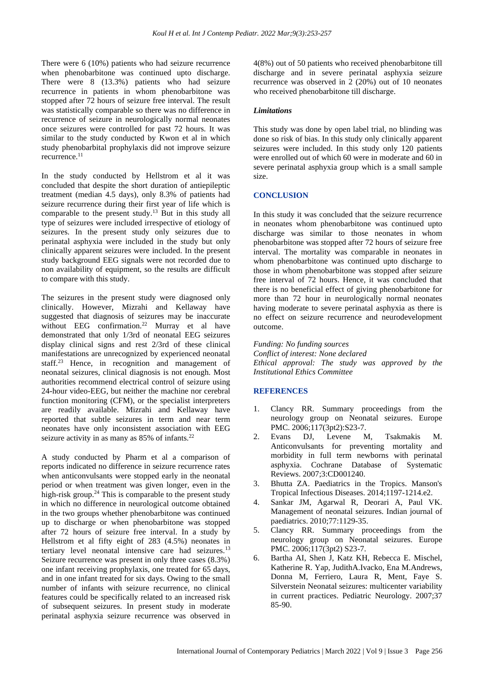There were 6 (10%) patients who had seizure recurrence when phenobarbitone was continued upto discharge. There were 8 (13.3%) patients who had seizure recurrence in patients in whom phenobarbitone was stopped after 72 hours of seizure free interval. The result was statistically comparable so there was no difference in recurrence of seizure in neurologically normal neonates once seizures were controlled for past 72 hours. It was similar to the study conducted by Kwon et al in which study phenobarbital prophylaxis did not improve seizure recurrence.<sup>11</sup>

In the study conducted by Hellstrom et al it was concluded that despite the short duration of antiepileptic treatment (median 4.5 days), only 8.3% of patients had seizure recurrence during their first year of life which is comparable to the present study.<sup>13</sup> But in this study all type of seizures were included irrespective of etiology of seizures. In the present study only seizures due to perinatal asphyxia were included in the study but only clinically apparent seizures were included. In the present study background EEG signals were not recorded due to non availability of equipment, so the results are difficult to compare with this study.

The seizures in the present study were diagnosed only clinically. However, Mizrahi and Kellaway have suggested that diagnosis of seizures may be inaccurate without EEG confirmation.<sup>22</sup> Murray et al have demonstrated that only 1/3rd of neonatal EEG seizures display clinical signs and rest 2/3rd of these clinical manifestations are unrecognized by experienced neonatal staff.<sup>23</sup> Hence, in recognition and management of neonatal seizures, clinical diagnosis is not enough. Most authorities recommend electrical control of seizure using 24-hour video-EEG, but neither the machine nor cerebral function monitoring (CFM), or the specialist interpreters are readily available. Mizrahi and Kellaway have reported that subtle seizures in term and near term neonates have only inconsistent association with EEG seizure activity in as many as 85% of infants.<sup>22</sup>

A study conducted by Pharm et al a comparison of reports indicated no difference in seizure recurrence rates when anticonvulsants were stopped early in the neonatal period or when treatment was given longer, even in the high-risk group.<sup>24</sup> This is comparable to the present study in which no difference in neurological outcome obtained in the two groups whether phenobarbitone was continued up to discharge or when phenobarbitone was stopped after 72 hours of seizure free interval. In a study by Hellstrom et al fifty eight of 283 (4.5%) neonates in tertiary level neonatal intensive care had seizures.<sup>13</sup> Seizure recurrence was present in only three cases (8.3%) one infant receiving prophylaxis, one treated for 65 days, and in one infant treated for six days. Owing to the small number of infants with seizure recurrence, no clinical features could be specifically related to an increased risk of subsequent seizures. In present study in moderate perinatal asphyxia seizure recurrence was observed in 4(8%) out of 50 patients who received phenobarbitone till discharge and in severe perinatal asphyxia seizure recurrence was observed in 2 (20%) out of 10 neonates who received phenobarbitone till discharge.

#### *Limitations*

This study was done by open label trial, no blinding was done so risk of bias. In this study only clinically apparent seizures were included. In this study only 120 patients were enrolled out of which 60 were in moderate and 60 in severe perinatal asphyxia group which is a small sample size.

#### **CONCLUSION**

In this study it was concluded that the seizure recurrence in neonates whom phenobarbitone was continued upto discharge was similar to those neonates in whom phenobarbitone was stopped after 72 hours of seizure free interval. The mortality was comparable in neonates in whom phenobarbitone was continued upto discharge to those in whom phenobarbitone was stopped after seizure free interval of 72 hours. Hence, it was concluded that there is no beneficial effect of giving phenobarbitone for more than 72 hour in neurologically normal neonates having moderate to severe perinatal asphyxia as there is no effect on seizure recurrence and neurodevelopment outcome.

*Funding: No funding sources Conflict of interest: None declared Ethical approval: The study was approved by the Institutional Ethics Committee*

#### **REFERENCES**

- 1. Clancy RR. Summary proceedings from the neurology group on Neonatal seizures. Europe PMC. 2006;117(3pt2):S23-7.
- 2. Evans DJ, Levene M, Tsakmakis M. Anticonvulsants for preventing mortality and morbidity in full term newborns with perinatal asphyxia. Cochrane Database of Systematic Reviews. 2007;3:CD001240.
- 3. Bhutta ZA. Paediatrics in the Tropics. Manson's Tropical Infectious Diseases. 2014;1197-1214.e2.
- 4. Sankar JM, Agarwal R, Deorari A, Paul VK. Management of neonatal seizures. Indian journal of paediatrics. 2010;77:1129-35.
- 5. Clancy RR. Summary proceedings from the neurology group on Neonatal seizures. Europe PMC. 2006;117(3pt2) S23-7.
- 6. Bartha AI, Shen J, Katz KH, Rebecca E. Mischel, Katherine R. Yap, JudithA.Ivacko, Ena M.Andrews, Donna M, Ferriero, Laura R, Ment, Faye S. Silverstein Neonatal seizures: multicenter variability in current practices. Pediatric Neurology. 2007;37 85-90.